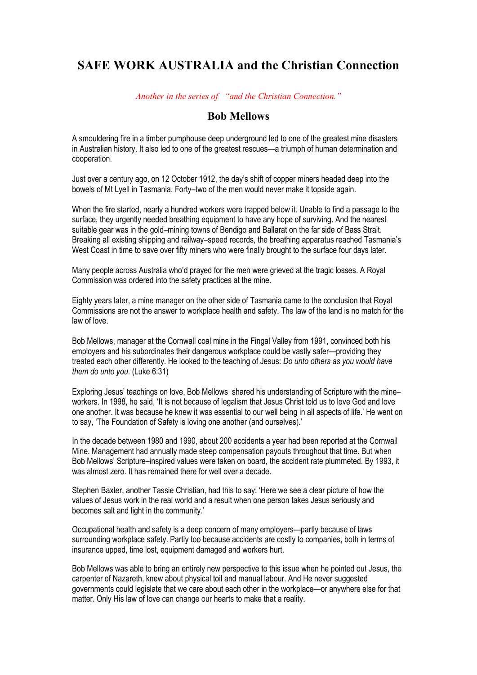## **SAFE WORK AUSTRALIA and the Christian Connection**

*Another in the series of "and the Christian Connection."*

## **Bob Mellows**

A smouldering fire in a timber pumphouse deep underground led to one of the greatest mine disasters in Australian history. It also led to one of the greatest rescues—a triumph of human determination and cooperation.

Just over a century ago, on 12 October 1912, the day's shift of copper miners headed deep into the bowels of Mt Lyell in Tasmania. Forty–two of the men would never make it topside again.

When the fire started, nearly a hundred workers were trapped below it. Unable to find a passage to the surface, they urgently needed breathing equipment to have any hope of surviving. And the nearest suitable gear was in the gold–mining towns of Bendigo and Ballarat on the far side of Bass Strait. Breaking all existing shipping and railway–speed records, the breathing apparatus reached Tasmania's West Coast in time to save over fifty miners who were finally brought to the surface four days later.

Many people across Australia who'd prayed for the men were grieved at the tragic losses. A Royal Commission was ordered into the safety practices at the mine.

Eighty years later, a mine manager on the other side of Tasmania came to the conclusion that Royal Commissions are not the answer to workplace health and safety. The law of the land is no match for the law of love.

Bob Mellows, manager at the Cornwall coal mine in the Fingal Valley from 1991, convinced both his employers and his subordinates their dangerous workplace could be vastly safer—providing they treated each other differently. He looked to the teaching of Jesus: *Do unto others as you would have them do unto you*. (Luke 6:31)

Exploring Jesus' teachings on love, Bob Mellows shared his understanding of Scripture with the mine– workers. In 1998, he said, 'It is not because of legalism that Jesus Christ told us to love God and love one another. It was because he knew it was essential to our well being in all aspects of life.' He went on to say, 'The Foundation of Safety is loving one another (and ourselves).'

In the decade between 1980 and 1990, about 200 accidents a year had been reported at the Cornwall Mine. Management had annually made steep compensation payouts throughout that time. But when Bob Mellows' Scripture–inspired values were taken on board, the accident rate plummeted. By 1993, it was almost zero. It has remained there for well over a decade.

Stephen Baxter, another Tassie Christian, had this to say: 'Here we see a clear picture of how the values of Jesus work in the real world and a result when one person takes Jesus seriously and becomes salt and light in the community.'

Occupational health and safety is a deep concern of many employers—partly because of laws surrounding workplace safety. Partly too because accidents are costly to companies, both in terms of insurance upped, time lost, equipment damaged and workers hurt.

Bob Mellows was able to bring an entirely new perspective to this issue when he pointed out Jesus, the carpenter of Nazareth, knew about physical toil and manual labour. And He never suggested governments could legislate that we care about each other in the workplace—or anywhere else for that matter. Only His law of love can change our hearts to make that a reality.